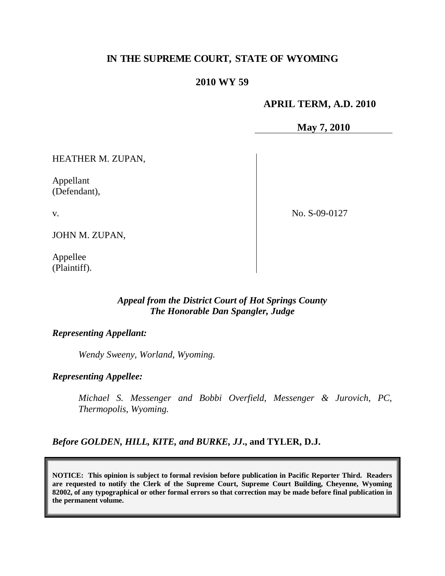# **IN THE SUPREME COURT, STATE OF WYOMING**

### **2010 WY 59**

#### **APRIL TERM, A.D. 2010**

**May 7, 2010**

HEATHER M. ZUPAN,

Appellant (Defendant),

v.

No. S-09-0127

JOHN M. ZUPAN,

Appellee (Plaintiff).

# *Appeal from the District Court of Hot Springs County The Honorable Dan Spangler, Judge*

#### *Representing Appellant:*

*Wendy Sweeny, Worland, Wyoming.*

#### *Representing Appellee:*

*Michael S. Messenger and Bobbi Overfield, Messenger & Jurovich, PC, Thermopolis, Wyoming.*

*Before GOLDEN, HILL, KITE, and BURKE, JJ***., and TYLER, D.J.**

**NOTICE: This opinion is subject to formal revision before publication in Pacific Reporter Third. Readers are requested to notify the Clerk of the Supreme Court, Supreme Court Building, Cheyenne, Wyoming 82002, of any typographical or other formal errors so that correction may be made before final publication in the permanent volume.**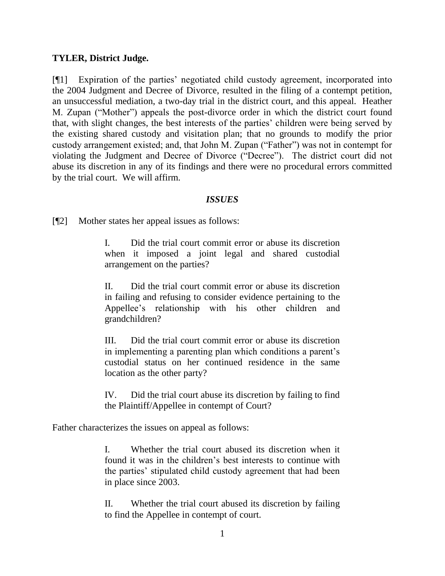#### **TYLER, District Judge.**

[¶1] Expiration of the parties" negotiated child custody agreement, incorporated into the 2004 Judgment and Decree of Divorce, resulted in the filing of a contempt petition, an unsuccessful mediation, a two-day trial in the district court, and this appeal. Heather M. Zupan ("Mother") appeals the post-divorce order in which the district court found that, with slight changes, the best interests of the parties" children were being served by the existing shared custody and visitation plan; that no grounds to modify the prior custody arrangement existed; and, that John M. Zupan ("Father") was not in contempt for violating the Judgment and Decree of Divorce ("Decree"). The district court did not abuse its discretion in any of its findings and there were no procedural errors committed by the trial court. We will affirm.

### *ISSUES*

[¶2] Mother states her appeal issues as follows:

I. Did the trial court commit error or abuse its discretion when it imposed a joint legal and shared custodial arrangement on the parties?

II. Did the trial court commit error or abuse its discretion in failing and refusing to consider evidence pertaining to the Appellee"s relationship with his other children and grandchildren?

III. Did the trial court commit error or abuse its discretion in implementing a parenting plan which conditions a parent"s custodial status on her continued residence in the same location as the other party?

IV. Did the trial court abuse its discretion by failing to find the Plaintiff/Appellee in contempt of Court?

Father characterizes the issues on appeal as follows:

I. Whether the trial court abused its discretion when it found it was in the children"s best interests to continue with the parties" stipulated child custody agreement that had been in place since 2003.

II. Whether the trial court abused its discretion by failing to find the Appellee in contempt of court.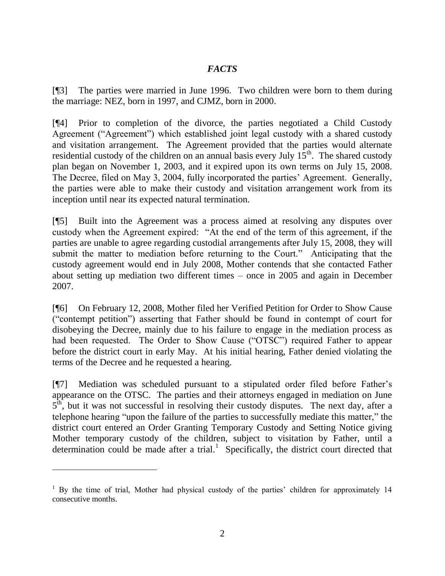### *FACTS*

[¶3] The parties were married in June 1996. Two children were born to them during the marriage: NEZ, born in 1997, and CJMZ, born in 2000.

[¶4] Prior to completion of the divorce, the parties negotiated a Child Custody Agreement ("Agreement") which established joint legal custody with a shared custody and visitation arrangement. The Agreement provided that the parties would alternate residential custody of the children on an annual basis every July  $15<sup>th</sup>$ . The shared custody plan began on November 1, 2003, and it expired upon its own terms on July 15, 2008. The Decree, filed on May 3, 2004, fully incorporated the parties" Agreement. Generally, the parties were able to make their custody and visitation arrangement work from its inception until near its expected natural termination.

[¶5] Built into the Agreement was a process aimed at resolving any disputes over custody when the Agreement expired: "At the end of the term of this agreement, if the parties are unable to agree regarding custodial arrangements after July 15, 2008, they will submit the matter to mediation before returning to the Court." Anticipating that the custody agreement would end in July 2008, Mother contends that she contacted Father about setting up mediation two different times – once in 2005 and again in December 2007.

[¶6] On February 12, 2008, Mother filed her Verified Petition for Order to Show Cause ("contempt petition") asserting that Father should be found in contempt of court for disobeying the Decree, mainly due to his failure to engage in the mediation process as had been requested. The Order to Show Cause ("OTSC") required Father to appear before the district court in early May. At his initial hearing, Father denied violating the terms of the Decree and he requested a hearing.

[¶7] Mediation was scheduled pursuant to a stipulated order filed before Father"s appearance on the OTSC. The parties and their attorneys engaged in mediation on June  $5<sup>th</sup>$ , but it was not successful in resolving their custody disputes. The next day, after a telephone hearing "upon the failure of the parties to successfully mediate this matter," the district court entered an Order Granting Temporary Custody and Setting Notice giving Mother temporary custody of the children, subject to visitation by Father, until a determination could be made after a trial.<sup>1</sup> Specifically, the district court directed that

 $\overline{a}$ 

 $1$  By the time of trial, Mother had physical custody of the parties' children for approximately 14 consecutive months.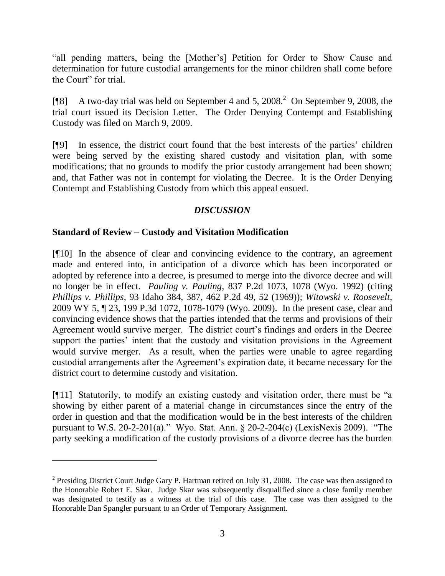"all pending matters, being the [Mother"s] Petition for Order to Show Cause and determination for future custodial arrangements for the minor children shall come before the Court" for trial.

[ $[$ [8] A two-day trial was held on September 4 and 5, 2008.<sup>2</sup> On September 9, 2008, the trial court issued its Decision Letter. The Order Denying Contempt and Establishing Custody was filed on March 9, 2009.

[¶9] In essence, the district court found that the best interests of the parties" children were being served by the existing shared custody and visitation plan, with some modifications; that no grounds to modify the prior custody arrangement had been shown; and, that Father was not in contempt for violating the Decree. It is the Order Denying Contempt and Establishing Custody from which this appeal ensued.

### *DISCUSSION*

### **Standard of Review – Custody and Visitation Modification**

 $\overline{a}$ 

[¶10] In the absence of clear and convincing evidence to the contrary, an agreement made and entered into, in anticipation of a divorce which has been incorporated or adopted by reference into a decree, is presumed to merge into the divorce decree and will no longer be in effect. *Pauling v. Pauling*, 837 P.2d 1073, 1078 (Wyo. 1992) (citing *Phillips v. Phillips*, 93 Idaho 384, 387, 462 P.2d 49, 52 (1969)); *Witowski v. Roosevelt*, 2009 WY 5, ¶ 23, 199 P.3d 1072, 1078-1079 (Wyo. 2009). In the present case, clear and convincing evidence shows that the parties intended that the terms and provisions of their Agreement would survive merger. The district court's findings and orders in the Decree support the parties' intent that the custody and visitation provisions in the Agreement would survive merger. As a result, when the parties were unable to agree regarding custodial arrangements after the Agreement"s expiration date, it became necessary for the district court to determine custody and visitation.

[¶11] Statutorily, to modify an existing custody and visitation order, there must be "a showing by either parent of a material change in circumstances since the entry of the order in question and that the modification would be in the best interests of the children pursuant to W.S. 20-2-201(a)." Wyo. Stat. Ann. § 20-2-204(c) (LexisNexis 2009). "The party seeking a modification of the custody provisions of a divorce decree has the burden

<sup>&</sup>lt;sup>2</sup> Presiding District Court Judge Gary P. Hartman retired on July 31, 2008. The case was then assigned to the Honorable Robert E. Skar. Judge Skar was subsequently disqualified since a close family member was designated to testify as a witness at the trial of this case. The case was then assigned to the Honorable Dan Spangler pursuant to an Order of Temporary Assignment.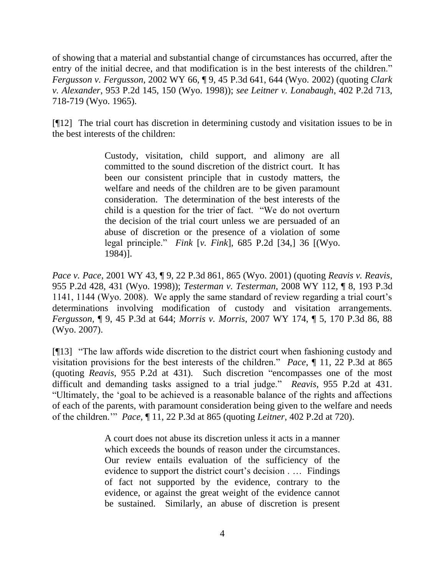of showing that a material and substantial change of circumstances has occurred, after the entry of the initial decree, and that modification is in the best interests of the children." *Fergusson v. Fergusson,* 2002 WY 66, ¶ 9, 45 P.3d 641, 644 (Wyo. 2002) (quoting *Clark v. Alexander*, 953 P.2d 145, 150 (Wyo. 1998)); *see Leitner v. Lonabaugh*, 402 P.2d 713, 718-719 (Wyo. 1965).

[¶12] The trial court has discretion in determining custody and visitation issues to be in the best interests of the children:

> Custody, visitation, child support, and alimony are all committed to the sound discretion of the district court. It has been our consistent principle that in custody matters, the welfare and needs of the children are to be given paramount consideration. The determination of the best interests of the child is a question for the trier of fact. "We do not overturn the decision of the trial court unless we are persuaded of an abuse of discretion or the presence of a violation of some legal principle." *Fink* [*v. Fink*], 685 P.2d [34,] 36 [(Wyo. 1984)].

*Pace v. Pace*, 2001 WY 43, ¶ 9, 22 P.3d 861, 865 (Wyo. 2001) (quoting *Reavis v. Reavis*, 955 P.2d 428, 431 (Wyo. 1998)); *Testerman v. Testerman*, 2008 WY 112, ¶ 8, 193 P.3d 1141, 1144 (Wyo. 2008). We apply the same standard of review regarding a trial court"s determinations involving modification of custody and visitation arrangements. *Fergusson,* ¶ 9, 45 P.3d at 644; *Morris v. Morris*, 2007 WY 174, ¶ 5, 170 P.3d 86, 88 (Wyo. 2007).

[¶13] "The law affords wide discretion to the district court when fashioning custody and visitation provisions for the best interests of the children." *Pace*, ¶ 11, 22 P.3d at 865 (quoting *Reavis*, 955 P.2d at 431). Such discretion "encompasses one of the most difficult and demanding tasks assigned to a trial judge." *Reavis*, 955 P.2d at 431. "Ultimately, the "goal to be achieved is a reasonable balance of the rights and affections of each of the parents, with paramount consideration being given to the welfare and needs of the children."" *Pace*, ¶ 11, 22 P.3d at 865 (quoting *Leitner*, 402 P.2d at 720).

> A court does not abuse its discretion unless it acts in a manner which exceeds the bounds of reason under the circumstances. Our review entails evaluation of the sufficiency of the evidence to support the district court's decision . ... Findings of fact not supported by the evidence, contrary to the evidence, or against the great weight of the evidence cannot be sustained. Similarly, an abuse of discretion is present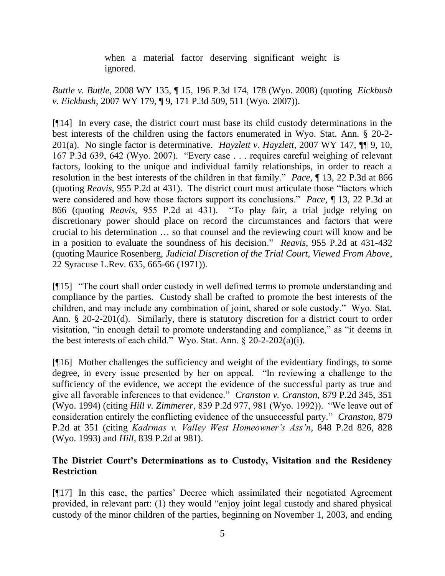when a material factor deserving significant weight is ignored.

*Buttle v. Buttle*, 2008 WY 135, ¶ 15, 196 P.3d 174, 178 (Wyo. 2008) (quoting *Eickbush v. Eickbush*, 2007 WY 179, ¶ 9, 171 P.3d 509, 511 (Wyo. 2007)).

[¶14] In every case, the district court must base its child custody determinations in the best interests of the children using the factors enumerated in Wyo. Stat. Ann. § 20-2- 201(a). No single factor is determinative. *Hayzlett v. Hayzlett*, 2007 WY 147, ¶¶ 9, 10, 167 P.3d 639, 642 (Wyo. 2007). "Every case . . . requires careful weighing of relevant factors, looking to the unique and individual family relationships, in order to reach a resolution in the best interests of the children in that family." *Pace*, ¶ 13, 22 P.3d at 866 (quoting *Reavis*, 955 P.2d at 431). The district court must articulate those "factors which were considered and how those factors support its conclusions." *Pace*, ¶ 13, 22 P.3d at 866 (quoting *Reavis*, 955 P.2d at 431). "To play fair, a trial judge relying on discretionary power should place on record the circumstances and factors that were crucial to his determination … so that counsel and the reviewing court will know and be in a position to evaluate the soundness of his decision." *Reavis*, 955 P.2d at 431-432 (quoting Maurice Rosenberg, *Judicial Discretion of the Trial Court, Viewed From Above*, 22 Syracuse L.Rev. 635, 665-66 (1971)).

[¶15] "The court shall order custody in well defined terms to promote understanding and compliance by the parties. Custody shall be crafted to promote the best interests of the children, and may include any combination of joint, shared or sole custody." Wyo. Stat. Ann. § 20-2-201(d). Similarly, there is statutory discretion for a district court to order visitation, "in enough detail to promote understanding and compliance," as "it deems in the best interests of each child." Wyo. Stat. Ann. § 20-2-202(a)(i).

[¶16] Mother challenges the sufficiency and weight of the evidentiary findings, to some degree, in every issue presented by her on appeal. "In reviewing a challenge to the sufficiency of the evidence, we accept the evidence of the successful party as true and give all favorable inferences to that evidence." *Cranston v. Cranston*, 879 P.2d 345, 351 (Wyo. 1994) (citing *Hill v. Zimmerer*, 839 P.2d 977, 981 (Wyo. 1992)). "We leave out of consideration entirely the conflicting evidence of the unsuccessful party." *Cranston*, 879 P.2d at 351 (citing *Kadrmas v. Valley West Homeowner's Ass'n*, 848 P.2d 826, 828 (Wyo. 1993) and *Hill*, 839 P.2d at 981).

# **The District Court's Determinations as to Custody, Visitation and the Residency Restriction**

[¶17] In this case, the parties" Decree which assimilated their negotiated Agreement provided, in relevant part: (1) they would "enjoy joint legal custody and shared physical custody of the minor children of the parties, beginning on November 1, 2003, and ending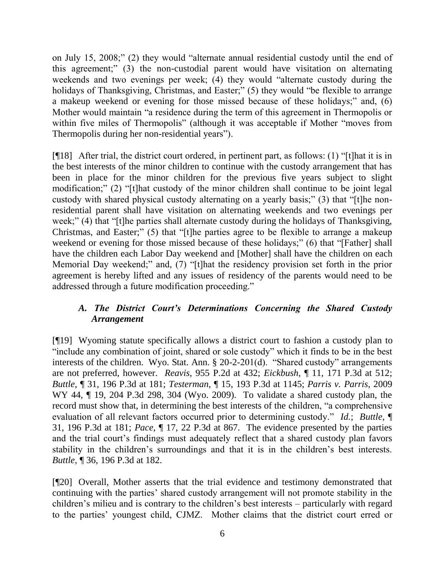on July 15, 2008;" (2) they would "alternate annual residential custody until the end of this agreement;" (3) the non-custodial parent would have visitation on alternating weekends and two evenings per week; (4) they would "alternate custody during the holidays of Thanksgiving, Christmas, and Easter;" (5) they would "be flexible to arrange a makeup weekend or evening for those missed because of these holidays;" and, (6) Mother would maintain "a residence during the term of this agreement in Thermopolis or within five miles of Thermopolis" (although it was acceptable if Mother "moves from Thermopolis during her non-residential years").

[¶18] After trial, the district court ordered, in pertinent part, as follows: (1) "[t]hat it is in the best interests of the minor children to continue with the custody arrangement that has been in place for the minor children for the previous five years subject to slight modification;" (2) "[t]hat custody of the minor children shall continue to be joint legal custody with shared physical custody alternating on a yearly basis;" (3) that "[t]he nonresidential parent shall have visitation on alternating weekends and two evenings per week;" (4) that "[t]he parties shall alternate custody during the holidays of Thanksgiving, Christmas, and Easter;" (5) that "[t]he parties agree to be flexible to arrange a makeup weekend or evening for those missed because of these holidays;" (6) that "[Father] shall have the children each Labor Day weekend and [Mother] shall have the children on each Memorial Day weekend;" and, (7) "[t]hat the residency provision set forth in the prior agreement is hereby lifted and any issues of residency of the parents would need to be addressed through a future modification proceeding."

# *A. The District Court's Determinations Concerning the Shared Custody Arrangement*

[¶19] Wyoming statute specifically allows a district court to fashion a custody plan to "include any combination of joint, shared or sole custody" which it finds to be in the best interests of the children. Wyo. Stat. Ann. § 20-2-201(d). "Shared custody" arrangements are not preferred, however. *Reavis*, 955 P.2d at 432; *Eickbush*, ¶ 11, 171 P.3d at 512; *Buttle*, ¶ 31, 196 P.3d at 181; *Testerman*, ¶ 15, 193 P.3d at 1145; *Parris v. Parris*, 2009 WY 44, ¶ 19, 204 P.3d 298, 304 (Wyo. 2009). To validate a shared custody plan, the record must show that, in determining the best interests of the children, "a comprehensive evaluation of all relevant factors occurred prior to determining custody." *Id.*; *Buttle*, ¶ 31, 196 P.3d at 181; *Pace*, ¶ 17, 22 P.3d at 867. The evidence presented by the parties and the trial court's findings must adequately reflect that a shared custody plan favors stability in the children"s surroundings and that it is in the children"s best interests. *Buttle*, ¶ 36, 196 P.3d at 182.

[¶20] Overall, Mother asserts that the trial evidence and testimony demonstrated that continuing with the parties" shared custody arrangement will not promote stability in the children"s milieu and is contrary to the children"s best interests – particularly with regard to the parties" youngest child, CJMZ. Mother claims that the district court erred or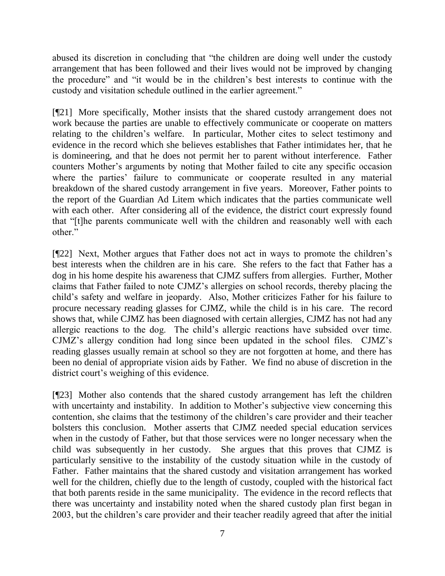abused its discretion in concluding that "the children are doing well under the custody arrangement that has been followed and their lives would not be improved by changing the procedure" and "it would be in the children"s best interests to continue with the custody and visitation schedule outlined in the earlier agreement."

[¶21] More specifically, Mother insists that the shared custody arrangement does not work because the parties are unable to effectively communicate or cooperate on matters relating to the children"s welfare. In particular, Mother cites to select testimony and evidence in the record which she believes establishes that Father intimidates her, that he is domineering, and that he does not permit her to parent without interference. Father counters Mother"s arguments by noting that Mother failed to cite any specific occasion where the parties' failure to communicate or cooperate resulted in any material breakdown of the shared custody arrangement in five years. Moreover, Father points to the report of the Guardian Ad Litem which indicates that the parties communicate well with each other. After considering all of the evidence, the district court expressly found that "[t]he parents communicate well with the children and reasonably well with each other."

[¶22] Next, Mother argues that Father does not act in ways to promote the children"s best interests when the children are in his care. She refers to the fact that Father has a dog in his home despite his awareness that CJMZ suffers from allergies. Further, Mother claims that Father failed to note CJMZ"s allergies on school records, thereby placing the child"s safety and welfare in jeopardy. Also, Mother criticizes Father for his failure to procure necessary reading glasses for CJMZ, while the child is in his care. The record shows that, while CJMZ has been diagnosed with certain allergies, CJMZ has not had any allergic reactions to the dog. The child"s allergic reactions have subsided over time. CJMZ"s allergy condition had long since been updated in the school files. CJMZ"s reading glasses usually remain at school so they are not forgotten at home, and there has been no denial of appropriate vision aids by Father. We find no abuse of discretion in the district court's weighing of this evidence.

[¶23] Mother also contends that the shared custody arrangement has left the children with uncertainty and instability. In addition to Mother's subjective view concerning this contention, she claims that the testimony of the children"s care provider and their teacher bolsters this conclusion. Mother asserts that CJMZ needed special education services when in the custody of Father, but that those services were no longer necessary when the child was subsequently in her custody. She argues that this proves that CJMZ is particularly sensitive to the instability of the custody situation while in the custody of Father. Father maintains that the shared custody and visitation arrangement has worked well for the children, chiefly due to the length of custody, coupled with the historical fact that both parents reside in the same municipality. The evidence in the record reflects that there was uncertainty and instability noted when the shared custody plan first began in 2003, but the children"s care provider and their teacher readily agreed that after the initial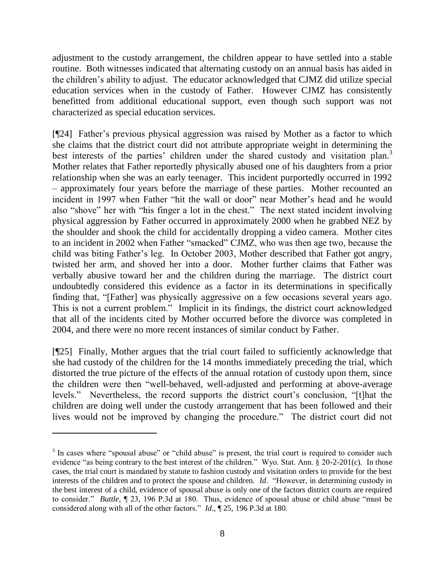adjustment to the custody arrangement, the children appear to have settled into a stable routine. Both witnesses indicated that alternating custody on an annual basis has aided in the children"s ability to adjust. The educator acknowledged that CJMZ did utilize special education services when in the custody of Father. However CJMZ has consistently benefitted from additional educational support, even though such support was not characterized as special education services.

[¶24] Father's previous physical aggression was raised by Mother as a factor to which she claims that the district court did not attribute appropriate weight in determining the best interests of the parties' children under the shared custody and visitation plan.<sup>3</sup> Mother relates that Father reportedly physically abused one of his daughters from a prior relationship when she was an early teenager. This incident purportedly occurred in 1992 – approximately four years before the marriage of these parties. Mother recounted an incident in 1997 when Father "hit the wall or door" near Mother's head and he would also "shove" her with "his finger a lot in the chest." The next stated incident involving physical aggression by Father occurred in approximately 2000 when he grabbed NEZ by the shoulder and shook the child for accidentally dropping a video camera. Mother cites to an incident in 2002 when Father "smacked" CJMZ, who was then age two, because the child was biting Father"s leg. In October 2003, Mother described that Father got angry, twisted her arm, and shoved her into a door. Mother further claims that Father was verbally abusive toward her and the children during the marriage. The district court undoubtedly considered this evidence as a factor in its determinations in specifically finding that, "[Father] was physically aggressive on a few occasions several years ago. This is not a current problem." Implicit in its findings, the district court acknowledged that all of the incidents cited by Mother occurred before the divorce was completed in 2004, and there were no more recent instances of similar conduct by Father.

[¶25] Finally, Mother argues that the trial court failed to sufficiently acknowledge that she had custody of the children for the 14 months immediately preceding the trial, which distorted the true picture of the effects of the annual rotation of custody upon them, since the children were then "well-behaved, well-adjusted and performing at above-average levels." Nevertheless, the record supports the district court's conclusion, "[t]hat the children are doing well under the custody arrangement that has been followed and their lives would not be improved by changing the procedure." The district court did not

 $\overline{a}$ 

 $3$  In cases where "spousal abuse" or "child abuse" is present, the trial court is required to consider such evidence "as being contrary to the best interest of the children." Wyo. Stat. Ann. § 20-2-201(c). In those cases, the trial court is mandated by statute to fashion custody and visitation orders to provide for the best interests of the children and to protect the spouse and children. *Id*. "However, in determining custody in the best interest of a child, evidence of spousal abuse is only one of the factors district courts are required to consider." *Buttle*,  $\sqrt{23}$ , 196 P.3d at 180. Thus, evidence of spousal abuse or child abuse "must be considered along with all of the other factors." *Id*., ¶ 25, 196 P.3d at 180.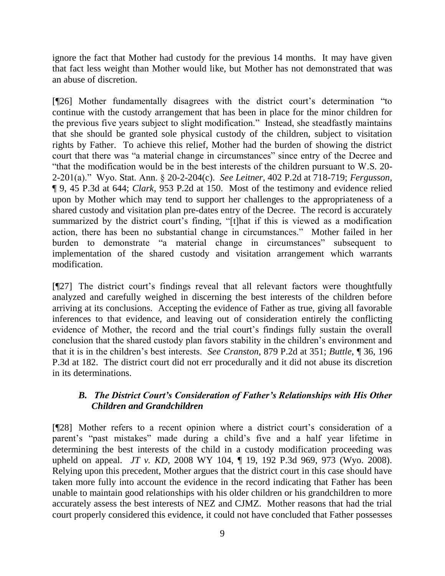ignore the fact that Mother had custody for the previous 14 months. It may have given that fact less weight than Mother would like, but Mother has not demonstrated that was an abuse of discretion.

[¶26] Mother fundamentally disagrees with the district court's determination "to continue with the custody arrangement that has been in place for the minor children for the previous five years subject to slight modification." Instead, she steadfastly maintains that she should be granted sole physical custody of the children, subject to visitation rights by Father. To achieve this relief, Mother had the burden of showing the district court that there was "a material change in circumstances" since entry of the Decree and "that the modification would be in the best interests of the children pursuant to W.S. 20- 2-201(a)." Wyo. Stat. Ann. § 20-2-204(c). *See Leitner*, 402 P.2d at 718-719; *Fergusson,* ¶ 9, 45 P.3d at 644; *Clark*, 953 P.2d at 150. Most of the testimony and evidence relied upon by Mother which may tend to support her challenges to the appropriateness of a shared custody and visitation plan pre-dates entry of the Decree. The record is accurately summarized by the district court's finding, "[t]hat if this is viewed as a modification action, there has been no substantial change in circumstances." Mother failed in her burden to demonstrate "a material change in circumstances" subsequent to implementation of the shared custody and visitation arrangement which warrants modification.

 $[$ [[27] The district court's findings reveal that all relevant factors were thoughtfully analyzed and carefully weighed in discerning the best interests of the children before arriving at its conclusions. Accepting the evidence of Father as true, giving all favorable inferences to that evidence, and leaving out of consideration entirely the conflicting evidence of Mother, the record and the trial court's findings fully sustain the overall conclusion that the shared custody plan favors stability in the children"s environment and that it is in the children"s best interests. *See Cranston*, 879 P.2d at 351; *Buttle*, ¶ 36, 196 P.3d at 182. The district court did not err procedurally and it did not abuse its discretion in its determinations.

# *B. The District Court's Consideration of Father's Relationships with His Other Children and Grandchildren*

[¶28] Mother refers to a recent opinion where a district court's consideration of a parent's "past mistakes" made during a child's five and a half year lifetime in determining the best interests of the child in a custody modification proceeding was upheld on appeal. *JT v. KD*, 2008 WY 104, ¶ 19, 192 P.3d 969, 973 (Wyo. 2008). Relying upon this precedent, Mother argues that the district court in this case should have taken more fully into account the evidence in the record indicating that Father has been unable to maintain good relationships with his older children or his grandchildren to more accurately assess the best interests of NEZ and CJMZ. Mother reasons that had the trial court properly considered this evidence, it could not have concluded that Father possesses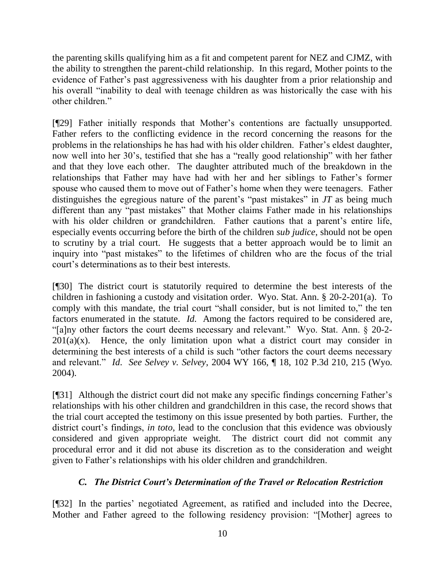the parenting skills qualifying him as a fit and competent parent for NEZ and CJMZ, with the ability to strengthen the parent-child relationship. In this regard, Mother points to the evidence of Father"s past aggressiveness with his daughter from a prior relationship and his overall "inability to deal with teenage children as was historically the case with his other children."

[¶29] Father initially responds that Mother"s contentions are factually unsupported. Father refers to the conflicting evidence in the record concerning the reasons for the problems in the relationships he has had with his older children. Father"s eldest daughter, now well into her 30"s, testified that she has a "really good relationship" with her father and that they love each other. The daughter attributed much of the breakdown in the relationships that Father may have had with her and her siblings to Father"s former spouse who caused them to move out of Father"s home when they were teenagers. Father distinguishes the egregious nature of the parent's "past mistakes" in *JT* as being much different than any "past mistakes" that Mother claims Father made in his relationships with his older children or grandchildren. Father cautions that a parent's entire life, especially events occurring before the birth of the children *sub judice*, should not be open to scrutiny by a trial court. He suggests that a better approach would be to limit an inquiry into "past mistakes" to the lifetimes of children who are the focus of the trial court"s determinations as to their best interests.

[¶30] The district court is statutorily required to determine the best interests of the children in fashioning a custody and visitation order. Wyo. Stat. Ann. § 20-2-201(a). To comply with this mandate, the trial court "shall consider, but is not limited to," the ten factors enumerated in the statute. *Id*. Among the factors required to be considered are, "[a]ny other factors the court deems necessary and relevant." Wyo. Stat. Ann. § 20-2-  $201(a)(x)$ . Hence, the only limitation upon what a district court may consider in determining the best interests of a child is such "other factors the court deems necessary and relevant." *Id*. *See Selvey v. Selvey*, 2004 WY 166, ¶ 18, 102 P.3d 210, 215 (Wyo. 2004).

[¶31] Although the district court did not make any specific findings concerning Father"s relationships with his other children and grandchildren in this case, the record shows that the trial court accepted the testimony on this issue presented by both parties. Further, the district court's findings, *in toto*, lead to the conclusion that this evidence was obviously considered and given appropriate weight. The district court did not commit any procedural error and it did not abuse its discretion as to the consideration and weight given to Father"s relationships with his older children and grandchildren.

# *C. The District Court's Determination of the Travel or Relocation Restriction*

[¶32] In the parties" negotiated Agreement, as ratified and included into the Decree, Mother and Father agreed to the following residency provision: "[Mother] agrees to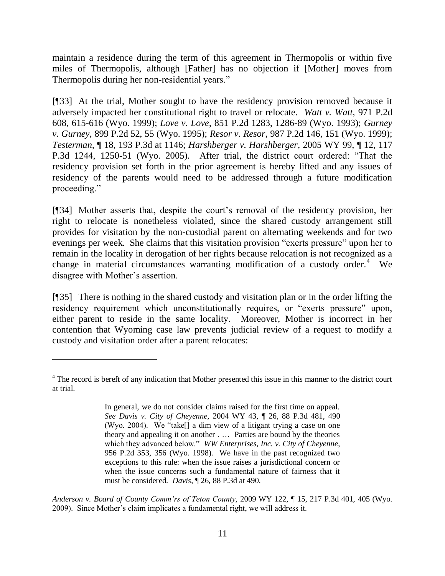maintain a residence during the term of this agreement in Thermopolis or within five miles of Thermopolis, although [Father] has no objection if [Mother] moves from Thermopolis during her non-residential years."

[¶33] At the trial, Mother sought to have the residency provision removed because it adversely impacted her constitutional right to travel or relocate. *Watt v. Watt*, 971 P.2d 608, 615-616 (Wyo. 1999); *Love v. Love*, 851 P.2d 1283, 1286-89 (Wyo. 1993); *Gurney v. Gurney*, 899 P.2d 52, 55 (Wyo. 1995); *Resor v. Resor*, 987 P.2d 146, 151 (Wyo. 1999); *Testerman*, ¶ 18, 193 P.3d at 1146; *Harshberger v. Harshberger*, 2005 WY 99, ¶ 12, 117 P.3d 1244, 1250-51 (Wyo. 2005). After trial, the district court ordered: "That the residency provision set forth in the prior agreement is hereby lifted and any issues of residency of the parents would need to be addressed through a future modification proceeding."

[¶34] Mother asserts that, despite the court"s removal of the residency provision, her right to relocate is nonetheless violated, since the shared custody arrangement still provides for visitation by the non-custodial parent on alternating weekends and for two evenings per week. She claims that this visitation provision "exerts pressure" upon her to remain in the locality in derogation of her rights because relocation is not recognized as a change in material circumstances warranting modification of a custody order. $4$  We disagree with Mother's assertion.

[¶35] There is nothing in the shared custody and visitation plan or in the order lifting the residency requirement which unconstitutionally requires, or "exerts pressure" upon, either parent to reside in the same locality. Moreover, Mother is incorrect in her contention that Wyoming case law prevents judicial review of a request to modify a custody and visitation order after a parent relocates:

*Anderson v. Board of County Comm'rs of Teton County*, 2009 WY 122, ¶ 15, 217 P.3d 401, 405 (Wyo. 2009). Since Mother"s claim implicates a fundamental right, we will address it.

<sup>&</sup>lt;sup>4</sup> The record is bereft of any indication that Mother presented this issue in this manner to the district court at trial.

In general, we do not consider claims raised for the first time on appeal. *See Davis v. City of Cheyenne*, 2004 WY 43, ¶ 26, 88 P.3d 481, 490 (Wyo. 2004). We "take[] a dim view of a litigant trying a case on one theory and appealing it on another . … Parties are bound by the theories which they advanced below." *WW Enterprises, Inc. v. City of Cheyenne*, 956 P.2d 353, 356 (Wyo. 1998). We have in the past recognized two exceptions to this rule: when the issue raises a jurisdictional concern or when the issue concerns such a fundamental nature of fairness that it must be considered. *Davis*, ¶ 26, 88 P.3d at 490.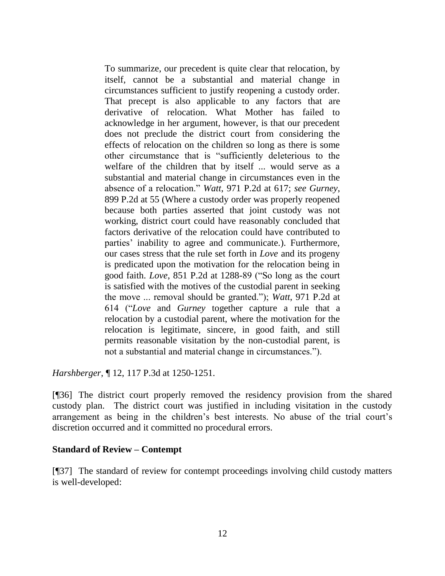To summarize, our precedent is quite clear that relocation, by itself, cannot be a substantial and material change in circumstances sufficient to justify reopening a custody order. That precept is also applicable to any factors that are derivative of relocation. What Mother has failed to acknowledge in her argument, however, is that our precedent does not preclude the district court from considering the effects of relocation on the children so long as there is some other circumstance that is "sufficiently deleterious to the welfare of the children that by itself ... would serve as a substantial and material change in circumstances even in the absence of a relocation." *Watt*, 971 P.2d at 617; *see Gurney*, 899 P.2d at 55 (Where a custody order was properly reopened because both parties asserted that joint custody was not working, district court could have reasonably concluded that factors derivative of the relocation could have contributed to parties' inability to agree and communicate.). Furthermore, our cases stress that the rule set forth in *Love* and its progeny is predicated upon the motivation for the relocation being in good faith. *Love*, 851 P.2d at 1288-89 ("So long as the court is satisfied with the motives of the custodial parent in seeking the move ... removal should be granted."); *Watt*, 971 P.2d at 614 ("*Love* and *Gurney* together capture a rule that a relocation by a custodial parent, where the motivation for the relocation is legitimate, sincere, in good faith, and still permits reasonable visitation by the non-custodial parent, is not a substantial and material change in circumstances.").

*Harshberger*, ¶ 12, 117 P.3d at 1250-1251.

[¶36] The district court properly removed the residency provision from the shared custody plan. The district court was justified in including visitation in the custody arrangement as being in the children's best interests. No abuse of the trial court's discretion occurred and it committed no procedural errors.

#### **Standard of Review – Contempt**

[¶37] The standard of review for contempt proceedings involving child custody matters is well-developed: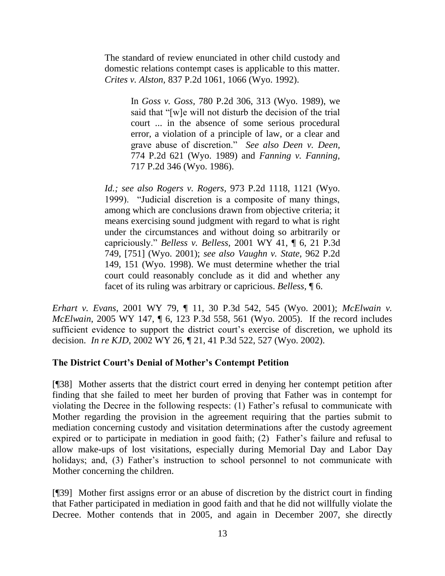The standard of review enunciated in other child custody and domestic relations contempt cases is applicable to this matter. *Crites v. Alston,* 837 P.2d 1061, 1066 (Wyo. 1992).

> In *Goss v. Goss,* 780 P.2d 306, 313 (Wyo. 1989), we said that "[w]e will not disturb the decision of the trial court ... in the absence of some serious procedural error, a violation of a principle of law, or a clear and grave abuse of discretion." *See also Deen v. Deen,* 774 P.2d 621 (Wyo. 1989) and *Fanning v. Fanning,* 717 P.2d 346 (Wyo. 1986).

*Id.; see also Rogers v. Rogers,* 973 P.2d 1118, 1121 (Wyo. 1999). "Judicial discretion is a composite of many things, among which are conclusions drawn from objective criteria; it means exercising sound judgment with regard to what is right under the circumstances and without doing so arbitrarily or capriciously." *Belless v. Belless,* 2001 WY 41, ¶ 6, 21 P.3d 749, [751] (Wyo. 2001); *see also Vaughn v. State,* 962 P.2d 149, 151 (Wyo. 1998). We must determine whether the trial court could reasonably conclude as it did and whether any facet of its ruling was arbitrary or capricious. *Belless,* ¶ 6.

*Erhart v. Evans*, 2001 WY 79, ¶ 11, 30 P.3d 542, 545 (Wyo. 2001); *McElwain v. McElwain*, 2005 WY 147, ¶ 6, 123 P.3d 558, 561 (Wyo. 2005). If the record includes sufficient evidence to support the district court's exercise of discretion, we uphold its decision. *In re KJD*, 2002 WY 26, ¶ 21, 41 P.3d 522, 527 (Wyo. 2002).

#### **The District Court's Denial of Mother's Contempt Petition**

[¶38] Mother asserts that the district court erred in denying her contempt petition after finding that she failed to meet her burden of proving that Father was in contempt for violating the Decree in the following respects: (1) Father"s refusal to communicate with Mother regarding the provision in the agreement requiring that the parties submit to mediation concerning custody and visitation determinations after the custody agreement expired or to participate in mediation in good faith; (2) Father's failure and refusal to allow make-ups of lost visitations, especially during Memorial Day and Labor Day holidays; and, (3) Father's instruction to school personnel to not communicate with Mother concerning the children.

[¶39] Mother first assigns error or an abuse of discretion by the district court in finding that Father participated in mediation in good faith and that he did not willfully violate the Decree. Mother contends that in 2005, and again in December 2007, she directly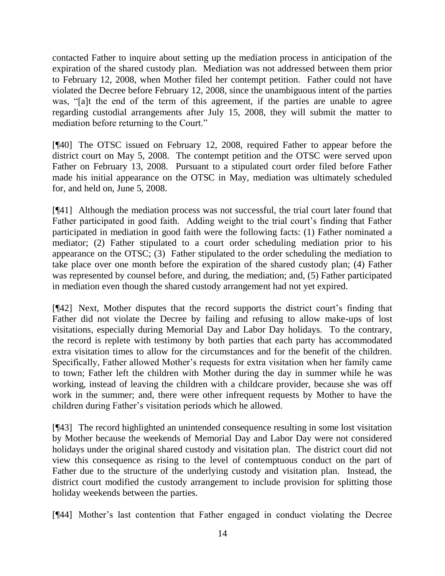contacted Father to inquire about setting up the mediation process in anticipation of the expiration of the shared custody plan. Mediation was not addressed between them prior to February 12, 2008, when Mother filed her contempt petition. Father could not have violated the Decree before February 12, 2008, since the unambiguous intent of the parties was, "[a]t the end of the term of this agreement, if the parties are unable to agree regarding custodial arrangements after July 15, 2008, they will submit the matter to mediation before returning to the Court."

[¶40] The OTSC issued on February 12, 2008, required Father to appear before the district court on May 5, 2008. The contempt petition and the OTSC were served upon Father on February 13, 2008. Pursuant to a stipulated court order filed before Father made his initial appearance on the OTSC in May, mediation was ultimately scheduled for, and held on, June 5, 2008.

[¶41] Although the mediation process was not successful, the trial court later found that Father participated in good faith. Adding weight to the trial court's finding that Father participated in mediation in good faith were the following facts: (1) Father nominated a mediator; (2) Father stipulated to a court order scheduling mediation prior to his appearance on the OTSC; (3) Father stipulated to the order scheduling the mediation to take place over one month before the expiration of the shared custody plan; (4) Father was represented by counsel before, and during, the mediation; and, (5) Father participated in mediation even though the shared custody arrangement had not yet expired.

[¶42] Next, Mother disputes that the record supports the district court"s finding that Father did not violate the Decree by failing and refusing to allow make-ups of lost visitations, especially during Memorial Day and Labor Day holidays. To the contrary, the record is replete with testimony by both parties that each party has accommodated extra visitation times to allow for the circumstances and for the benefit of the children. Specifically, Father allowed Mother"s requests for extra visitation when her family came to town; Father left the children with Mother during the day in summer while he was working, instead of leaving the children with a childcare provider, because she was off work in the summer; and, there were other infrequent requests by Mother to have the children during Father"s visitation periods which he allowed.

[¶43] The record highlighted an unintended consequence resulting in some lost visitation by Mother because the weekends of Memorial Day and Labor Day were not considered holidays under the original shared custody and visitation plan. The district court did not view this consequence as rising to the level of contemptuous conduct on the part of Father due to the structure of the underlying custody and visitation plan. Instead, the district court modified the custody arrangement to include provision for splitting those holiday weekends between the parties.

[¶44] Mother"s last contention that Father engaged in conduct violating the Decree